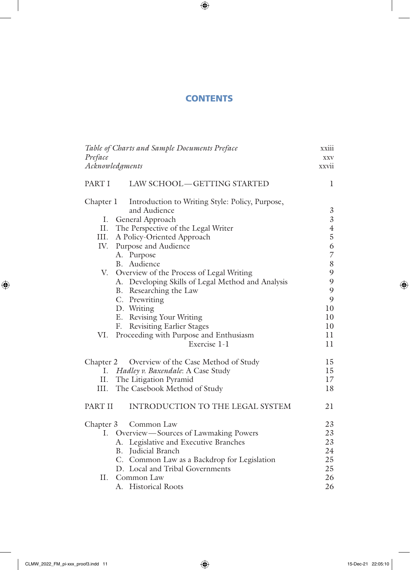# **CONTENTS**

 $\bigoplus$ 

| Table of Charts and Sample Documents Preface |                                                   |                |
|----------------------------------------------|---------------------------------------------------|----------------|
| Preface                                      |                                                   | <b>XXV</b>     |
| Acknowledgments                              |                                                   | xxvii          |
| PART I<br>LAW SCHOOL-GETTING STARTED         |                                                   |                |
| Chapter 1                                    | Introduction to Writing Style: Policy, Purpose,   |                |
|                                              | and Audience                                      | 3              |
|                                              | I. General Approach                               | $\overline{3}$ |
| II.                                          | The Perspective of the Legal Writer               | $\overline{4}$ |
|                                              | III. A Policy-Oriented Approach                   | $\overline{5}$ |
|                                              | IV. Purpose and Audience                          | 6              |
|                                              | A. Purpose                                        | 7              |
|                                              | B. Audience                                       | $8\,$          |
|                                              | V. Overview of the Process of Legal Writing       | 9              |
|                                              | A. Developing Skills of Legal Method and Analysis | 9              |
|                                              | B. Researching the Law                            | 9              |
|                                              | C. Prewriting                                     | 9              |
|                                              | D. Writing                                        | 10             |
|                                              | E. Revising Your Writing                          | 10             |
| F.                                           | <b>Revisiting Earlier Stages</b>                  | 10             |
| VI.                                          | Proceeding with Purpose and Enthusiasm            | 11             |
|                                              | Exercise 1-1                                      | 11             |
| Chapter 2                                    | Overview of the Case Method of Study              | 15             |
|                                              | I. Hadley v. Baxendale: A Case Study              | 15             |
| П.                                           | The Litigation Pyramid                            | 17             |
| III.                                         | The Casebook Method of Study                      | 18             |
| PART II                                      | INTRODUCTION TO THE LEGAL SYSTEM                  | 21             |
| Chapter 3                                    | Common Law                                        | 23             |
|                                              | I. Overview—Sources of Lawmaking Powers           | 23             |
|                                              | A. Legislative and Executive Branches             | 23             |
|                                              | B. Judicial Branch                                | 24             |
|                                              | C. Common Law as a Backdrop for Legislation       | 25             |
|                                              | D. Local and Tribal Governments                   | 25             |
|                                              | II. Common Law                                    | 26             |
|                                              | A. Historical Roots                               | 26             |

 $\overline{\phantom{a}}$ 

 $\bigoplus$ 

 $\overline{\phantom{a}}$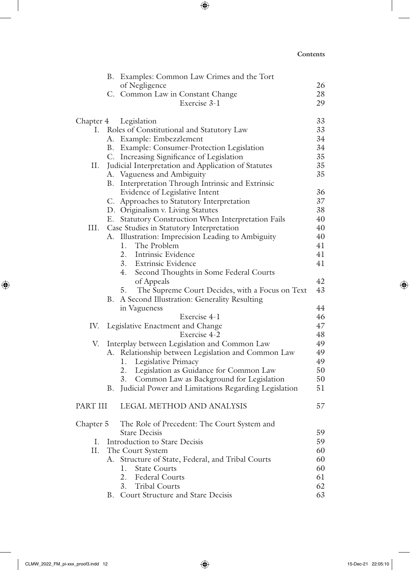$\overline{\phantom{a}}$ 

 $\bigoplus$ 

|           |    | B. Examples: Common Law Crimes and the Tort             |          |
|-----------|----|---------------------------------------------------------|----------|
|           |    | of Negligence                                           | 26       |
|           |    | C. Common Law in Constant Change                        | 28       |
|           |    | Exercise 3-1                                            | 29       |
|           |    | Chapter 4 Legislation                                   | 33       |
|           |    | I. Roles of Constitutional and Statutory Law            | 33       |
|           |    | A. Example: Embezzlement                                | 34       |
|           |    | B. Example: Consumer-Protection Legislation             | 34       |
|           |    | C. Increasing Significance of Legislation               | 35       |
| П.        |    | Judicial Interpretation and Application of Statutes     | 35       |
|           |    | A. Vagueness and Ambiguity                              | 35       |
|           |    | B. Interpretation Through Intrinsic and Extrinsic       |          |
|           |    | Evidence of Legislative Intent                          | 36       |
|           |    | C. Approaches to Statutory Interpretation               | 37       |
|           |    | D. Originalism v. Living Statutes                       | 38       |
|           |    | E. Statutory Construction When Interpretation Fails     | 40       |
|           |    | III. Case Studies in Statutory Interpretation           | 40       |
|           |    | A. Illustration: Imprecision Leading to Ambiguity       | 40       |
|           |    | 1. The Problem                                          | 41       |
|           |    | 2. Intrinsic Evidence                                   | 41       |
|           |    | 3. Extrinsic Evidence                                   | 41       |
|           |    | 4.<br>Second Thoughts in Some Federal Courts            |          |
|           |    | of Appeals                                              | 42       |
|           |    | 5. The Supreme Court Decides, with a Focus on Text      | 43       |
|           |    | B. A Second Illustration: Generality Resulting          |          |
|           |    | in Vagueness<br>Exercise 4-1                            | 44<br>46 |
|           |    | IV. Legislative Enactment and Change                    | 47       |
|           |    | Exercise 4-2                                            | 48       |
| V.        |    | Interplay between Legislation and Common Law            | 49       |
|           |    | A. Relationship between Legislation and Common Law      | 49       |
|           |    | 1. Legislative Primacy                                  | 49       |
|           |    | 2. Legislation as Guidance for Common Law               | 50       |
|           |    | Common Law as Background for Legislation<br>3.          | 50       |
|           |    | B. Judicial Power and Limitations Regarding Legislation | 51       |
|           |    | PART III LEGAL METHOD AND ANALYSIS                      | 57       |
|           |    | The Role of Precedent: The Court System and             |          |
| Chapter 5 |    | <b>Stare Decisis</b>                                    | 59       |
| L.        |    | Introduction to Stare Decisis                           | 59       |
| П.        |    | The Court System                                        | 60       |
|           |    | A. Structure of State, Federal, and Tribal Courts       | 60       |
|           |    | 1.<br><b>State Courts</b>                               | 60       |
|           |    | 2.<br><b>Federal Courts</b>                             | 61       |
|           |    | <b>Tribal Courts</b><br>3.                              | 62       |
|           | В. | Court Structure and Stare Decisis                       | 63       |
|           |    |                                                         |          |

 $\bigoplus$ 

 $\overline{\phantom{a}}$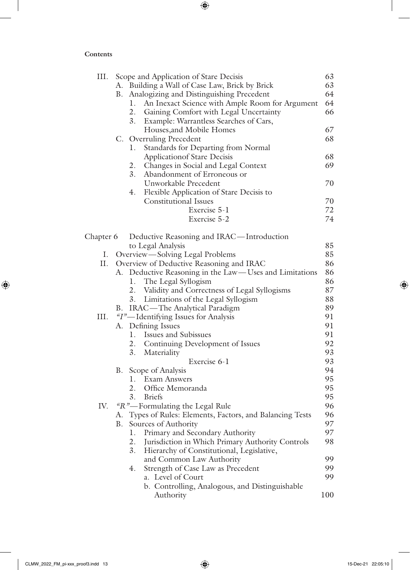$\overline{\phantom{a}}$ 

 $\bigoplus$ 

| III.      |    | Scope and Application of Stare Decisis                    | 63  |
|-----------|----|-----------------------------------------------------------|-----|
|           |    | A. Building a Wall of Case Law, Brick by Brick            | 63  |
|           | В. | Analogizing and Distinguishing Precedent                  | 64  |
|           |    | An Inexact Science with Ample Room for Argument<br>1.     | 64  |
|           |    | 2. Gaining Comfort with Legal Uncertainty                 | 66  |
|           |    | 3.<br>Example: Warrantless Searches of Cars,              |     |
|           |    | Houses, and Mobile Homes                                  | 67  |
|           |    | C. Overruling Precedent                                   | 68  |
|           |    | Standards for Departing from Normal<br>1.                 |     |
|           |    | <b>Applicationof Stare Decisis</b>                        | 68  |
|           |    | Changes in Social and Legal Context<br>2.                 | 69  |
|           |    | 3.                                                        |     |
|           |    | Abandonment of Erroneous or                               |     |
|           |    | Unworkable Precedent                                      | 70  |
|           |    | Flexible Application of Stare Decisis to<br>4.            |     |
|           |    | <b>Constitutional Issues</b>                              | 70  |
|           |    | Exercise 5-1                                              | 72  |
|           |    | Exercise 5-2                                              | 74  |
| Chapter 6 |    | Deductive Reasoning and IRAC—Introduction                 |     |
|           |    | to Legal Analysis                                         | 85  |
| Ι.        |    | Overview-Solving Legal Problems                           | 85  |
| П.        |    |                                                           | 86  |
|           |    | Overview of Deductive Reasoning and IRAC                  |     |
|           |    | A. Deductive Reasoning in the Law-Uses and Limitations    | 86  |
|           |    | 1. The Legal Syllogism                                    | 86  |
|           |    | 2. Validity and Correctness of Legal Syllogisms           | 87  |
|           |    | 3. Limitations of the Legal Syllogism                     | 88  |
|           | B. | IRAC-The Analytical Paradigm                              | 89  |
| III.      |    | "I"-Identifying Issues for Analysis                       | 91  |
|           |    | A. Defining Issues                                        | 91  |
|           |    | 1. Issues and Subissues                                   | 91  |
|           |    | 2. Continuing Development of Issues                       | 92  |
|           |    | 3.<br>Materiality                                         | 93  |
|           |    | Exercise 6-1                                              | 93  |
|           | B. | Scope of Analysis                                         | 94  |
|           |    | 1. Exam Answers                                           | 95  |
|           |    | 2. Office Memoranda                                       | 95  |
|           |    | 3. Briefs                                                 | 95  |
| IV.       |    | "R"-Formulating the Legal Rule                            | 96  |
|           |    | A. Types of Rules: Elements, Factors, and Balancing Tests | 96  |
|           | B. | Sources of Authority                                      | 97  |
|           |    | 1.                                                        | 97  |
|           |    | Primary and Secondary Authority                           |     |
|           |    | 2.<br>Jurisdiction in Which Primary Authority Controls    | 98  |
|           |    | 3.<br>Hierarchy of Constitutional, Legislative,           |     |
|           |    | and Common Law Authority                                  | 99  |
|           |    | Strength of Case Law as Precedent<br>4.                   | 99  |
|           |    | a. Level of Court                                         | 99  |
|           |    | b. Controlling, Analogous, and Distinguishable            |     |
|           |    | Authority                                                 | 100 |

 $\bigoplus$ 

I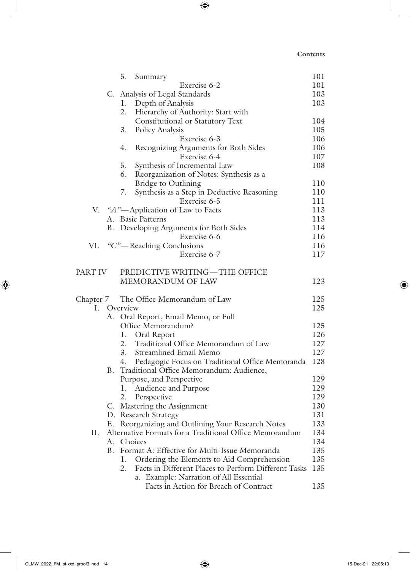$\overline{\phantom{a}}$ 

 $\bigoplus$ 

|         |    | 5.<br>Summary                                                                                  | 101        |
|---------|----|------------------------------------------------------------------------------------------------|------------|
|         |    | Exercise 6-2                                                                                   | 101        |
|         |    | C. Analysis of Legal Standards                                                                 | 103        |
|         |    | 1. Depth of Analysis                                                                           | 103        |
|         |    | 2.<br>Hierarchy of Authority: Start with                                                       |            |
|         |    | Constitutional or Statutory Text                                                               | 104        |
|         |    | 3.<br>Policy Analysis                                                                          | 105        |
|         |    | Exercise 6-3                                                                                   | 106        |
|         |    | 4.<br>Recognizing Arguments for Both Sides                                                     | 106        |
|         |    | Exercise 6-4                                                                                   | 107        |
|         |    | 5.<br>Synthesis of Incremental Law                                                             | 108        |
|         |    | 6.<br>Reorganization of Notes: Synthesis as a                                                  |            |
|         |    | Bridge to Outlining                                                                            | 110        |
|         |    | Synthesis as a Step in Deductive Reasoning<br>7.                                               | 110        |
|         |    | Exercise 6-5                                                                                   | 111        |
|         |    | V. "A"—Application of Law to Facts                                                             | 113        |
|         |    | A. Basic Patterns                                                                              | 113        |
|         |    | B. Developing Arguments for Both Sides                                                         | 114        |
|         |    | Exercise 6-6                                                                                   | 116        |
| VI.     |    | "C"-Reaching Conclusions                                                                       | 116        |
|         |    | Exercise 6-7                                                                                   | 117        |
|         |    |                                                                                                |            |
| PART IV |    | PREDICTIVE WRITING-THE OFFICE                                                                  |            |
|         |    | MEMORANDUM OF LAW                                                                              | 123        |
|         |    |                                                                                                |            |
|         |    | Chapter 7 The Office Memorandum of Law                                                         | 125        |
|         |    | I. Overview                                                                                    | 125        |
|         |    | A. Oral Report, Email Memo, or Full                                                            |            |
|         |    | Office Memorandum?                                                                             | 125        |
|         |    | 1.<br>Oral Report<br>Traditional Office Memorandum of Law                                      | 126        |
|         |    | 2.<br>3.                                                                                       | 127        |
|         |    | Streamlined Email Memo                                                                         | 127<br>128 |
|         | В. | 4. Pedagogic Focus on Traditional Office Memoranda<br>Traditional Office Memorandum: Audience, |            |
|         |    | Purpose, and Perspective                                                                       | 129        |
|         |    | 1.<br>Audience and Purpose                                                                     | 129        |
|         |    | 2. Perspective                                                                                 | 129        |
|         |    | C. Mastering the Assignment                                                                    | 130        |
|         |    | D. Research Strategy                                                                           | 131        |
|         | Е. | Reorganizing and Outlining Your Research Notes                                                 | 133        |
| П.      |    | Alternative Formats for a Traditional Office Memorandum                                        | 134        |
|         | А. | Choices                                                                                        | 134        |
|         | В. | Format A: Effective for Multi-Issue Memoranda                                                  | 135        |
|         |    | 1.<br>Ordering the Elements to Aid Comprehension                                               | 135        |
|         |    | 2.<br>Facts in Different Places to Perform Different Tasks                                     | 135        |
|         |    | a. Example: Narration of All Essential                                                         |            |
|         |    | Facts in Action for Breach of Contract                                                         | 135        |

 $\bigoplus$ 

 $\overline{\phantom{a}}$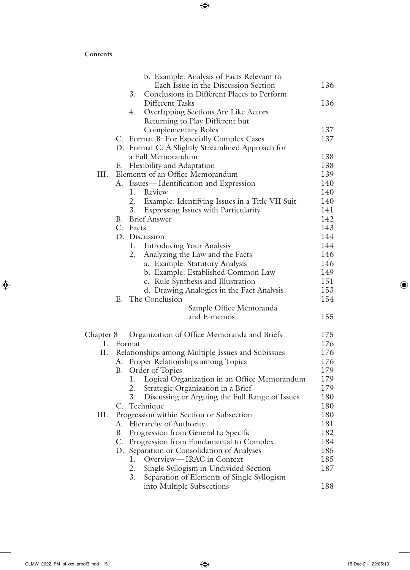$\overline{\phantom{a}}$ 

 $\bigoplus$ 

|           |    | b. Example: Analysis of Facts Relevant to            |     |
|-----------|----|------------------------------------------------------|-----|
|           |    | Each Issue in the Discussion Section                 | 136 |
|           |    | 3.<br>Conclusions in Different Places to Perform     |     |
|           |    | Different Tasks                                      | 136 |
|           |    | Overlapping Sections Are Like Actors<br>4.           |     |
|           |    | Returning to Play Different but                      |     |
|           |    | <b>Complementary Roles</b>                           | 137 |
|           |    | C. Format B: For Especially Complex Cases            | 137 |
|           |    | D. Format C: A Slightly Streamlined Approach for     |     |
|           |    | a Full Memorandum                                    | 138 |
|           |    | E. Flexibility and Adaptation                        | 138 |
| III.      |    | Elements of an Office Memorandum                     | 139 |
|           |    | A. Issues-Identification and Expression              | 140 |
|           |    | 1. Review                                            | 140 |
|           |    | 2. Example: Identifying Issues in a Title VII Suit   | 140 |
|           |    | 3.<br>Expressing Issues with Particularity           | 141 |
|           |    | <b>B.</b> Brief Answer                               | 142 |
|           |    | C. Facts                                             | 143 |
|           |    | D. Discussion                                        | 144 |
|           |    | 1. Introducing Your Analysis                         | 144 |
|           |    | Analyzing the Law and the Facts<br>2.                | 146 |
|           |    | a. Example: Statutory Analysis                       | 146 |
|           |    | b. Example: Established Common Law                   | 149 |
|           |    | c. Rule Synthesis and Illustration                   | 151 |
|           |    | d. Drawing Analogies in the Fact Analysis            | 153 |
|           |    | E. The Conclusion                                    | 154 |
|           |    | Sample Office Memoranda                              |     |
|           |    | and E-memos                                          | 155 |
|           |    |                                                      |     |
| Chapter 8 |    | Organization of Office Memoranda and Briefs          | 175 |
|           |    | I. Format                                            | 176 |
| II.       |    | Relationships among Multiple Issues and Subissues    | 176 |
|           |    | A. Proper Relationships among Topics                 | 176 |
|           | B. | Order of Topics                                      | 179 |
|           |    | Logical Organization in an Office Memorandum<br>1.   | 179 |
|           |    | 2.<br>Strategic Organization in a Brief              | 179 |
|           |    | 3.<br>Discussing or Arguing the Full Range of Issues | 180 |
|           |    | C. Technique                                         | 180 |
| Ш.        |    | Progression within Section or Subsection             | 180 |
|           |    |                                                      | 181 |
|           |    | A. Hierarchy of Authority                            |     |
|           | В. | Progression from General to Specific                 | 182 |
|           |    | C. Progression from Fundamental to Complex           | 184 |
|           |    | D. Separation or Consolidation of Analyses           | 185 |
|           |    | Overview-IRAC in Context<br>1.                       | 185 |
|           |    | 2.<br>Single Syllogism in Undivided Section          | 187 |
|           |    | 3.<br>Separation of Elements of Single Syllogism     |     |
|           |    | into Multiple Subsections                            | 188 |

 $\bigoplus$ 

 $\overline{\phantom{a}}$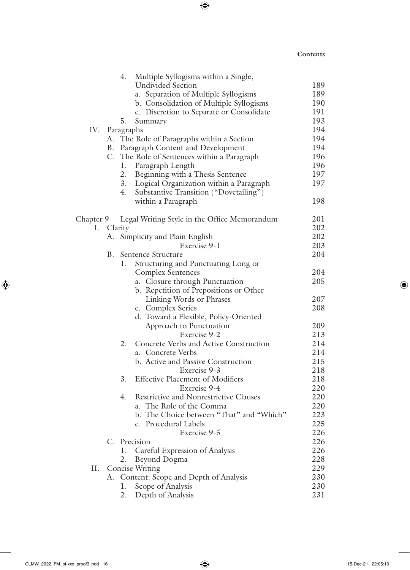|           |            | 4. | Multiple Syllogisms within a Single,         |     |
|-----------|------------|----|----------------------------------------------|-----|
|           |            |    | <b>Undivided Section</b>                     | 189 |
|           |            |    | a. Separation of Multiple Syllogisms         | 189 |
|           |            |    | b. Consolidation of Multiple Syllogisms      | 190 |
|           |            |    | c. Discretion to Separate or Consolidate     | 191 |
|           |            | 5. | Summary                                      | 193 |
| IV.       |            |    | Paragraphs                                   | 194 |
|           |            |    | A. The Role of Paragraphs within a Section   | 194 |
|           |            |    | B. Paragraph Content and Development         | 194 |
|           |            |    | C. The Role of Sentences within a Paragraph  | 196 |
|           |            | 1. | Paragraph Length                             | 196 |
|           |            | 2. | Beginning with a Thesis Sentence             | 197 |
|           |            |    | 3. Logical Organization within a Paragraph   | 197 |
|           |            | 4. | Substantive Transition ("Dovetailing")       |     |
|           |            |    | within a Paragraph                           | 198 |
| Chapter 9 |            |    | Legal Writing Style in the Office Memorandum | 201 |
|           | I. Clarity |    |                                              | 202 |
|           |            |    | A. Simplicity and Plain English              | 202 |
|           |            |    | Exercise 9-1                                 | 203 |
|           | B.         |    | Sentence Structure                           | 204 |
|           |            | 1. | Structuring and Punctuating Long or          |     |
|           |            |    | <b>Complex Sentences</b>                     | 204 |
|           |            |    | a. Closure through Punctuation               | 205 |
|           |            |    | b. Repetition of Prepositions or Other       |     |
|           |            |    | Linking Words or Phrases                     | 207 |
|           |            |    | c. Complex Series                            | 208 |
|           |            |    | d. Toward a Flexible, Policy-Oriented        |     |
|           |            |    | Approach to Punctuation                      | 209 |
|           |            |    | Exercise 9-2                                 | 213 |
|           |            | 2. | Concrete Verbs and Active Construction       | 214 |
|           |            |    | a. Concrete Verbs                            | 214 |
|           |            |    | b. Active and Passive Construction           | 215 |
|           |            |    | Exercise 9-3                                 | 218 |
|           |            | 3. | <b>Effective Placement of Modifiers</b>      | 218 |
|           |            |    | Exercise 9-4                                 | 220 |
|           |            | 4. | Restrictive and Nonrestrictive Clauses       | 220 |
|           |            |    | a. The Role of the Comma                     | 220 |
|           |            |    | b. The Choice between "That" and "Which"     | 223 |
|           |            |    | c. Procedural Labels                         | 225 |
|           |            |    | Exercise 9-5                                 | 226 |
|           |            |    | C. Precision                                 | 226 |
|           |            | 1. | Careful Expression of Analysis               | 226 |
|           |            | 2. | Beyond Dogma                                 | 228 |
| П.        |            |    | Concise Writing                              | 229 |
|           |            |    | A. Content: Scope and Depth of Analysis      | 230 |
|           |            | 1. | Scope of Analysis                            | 230 |
|           |            | 2. | Depth of Analysis                            | 231 |

 $\bigoplus$ 

 $\overline{\phantom{a}}$ 

 $\bigoplus$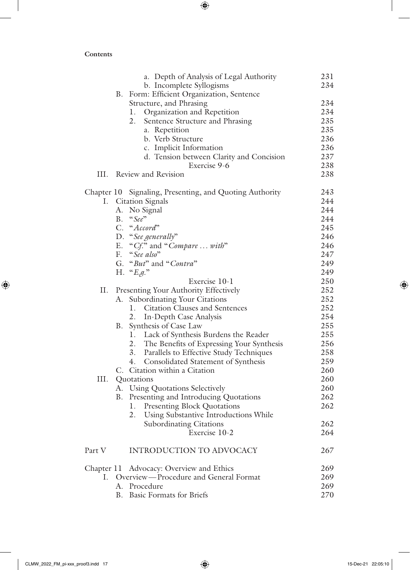$\overline{\phantom{a}}$ 

 $\bigoplus$ 

|              | a. Depth of Analysis of Legal Authority                              | 231        |
|--------------|----------------------------------------------------------------------|------------|
|              | b. Incomplete Syllogisms                                             | 234        |
|              | B. Form: Efficient Organization, Sentence                            |            |
|              | Structure, and Phrasing                                              | 234        |
|              | Organization and Repetition<br>1.                                    | 234        |
|              | 2.<br>Sentence Structure and Phrasing                                | 235        |
|              | a. Repetition                                                        | 235        |
|              | b. Verb Structure                                                    | 236        |
|              | c. Implicit Information                                              | 236        |
|              | d. Tension between Clarity and Concision<br>Exercise 9-6             | 237<br>238 |
| Ш.           | Review and Revision                                                  | 238        |
|              | Chapter 10 Signaling, Presenting, and Quoting Authority              | 243        |
| Ι.           | <b>Citation Signals</b>                                              | 244        |
|              | A. No Signal                                                         | 244        |
|              | $-$ "See"<br>В.                                                      | 244        |
|              | C. "Accord"                                                          | 245        |
|              | D. "See generally"                                                   | 246        |
|              | E. "Cf." and "Compare  with"                                         | 246        |
|              | F. "See also"                                                        | 247        |
|              | G. "But" and "Contra"                                                | 249        |
|              | H. " $E.g.^"$                                                        | 249        |
|              | Exercise 10-1                                                        | 250        |
| П.           | Presenting Your Authority Effectively                                | 252        |
|              | <b>Subordinating Your Citations</b><br>А.                            | 252        |
|              | <b>Citation Clauses and Sentences</b><br>Ι.                          | 252        |
|              | 2.<br>In-Depth Case Analysis                                         | 254        |
|              | Synthesis of Case Law<br>В.                                          | 255        |
|              | Lack of Synthesis Burdens the Reader<br>1.                           | 255        |
|              | 2. The Benefits of Expressing Your Synthesis<br>3.                   | 256<br>258 |
|              | <b>Parallels to Effective Study Techniques</b><br>4.                 | 259        |
|              | Consolidated Statement of Synthesis<br>C. Citation within a Citation | 260        |
| Ш.           | Quotations                                                           | 260        |
|              | A. Using Quotations Selectively                                      | 260        |
|              | B. Presenting and Introducing Quotations                             | 262        |
|              | 1.<br><b>Presenting Block Quotations</b>                             | 262        |
|              | Using Substantive Introductions While<br>2.                          |            |
|              | <b>Subordinating Citations</b>                                       | 262        |
|              | Exercise 10-2                                                        | 264        |
| Part V       | <b>INTRODUCTION TO ADVOCACY</b>                                      | 267        |
|              | Chapter 11 Advocacy: Overview and Ethics                             | 269        |
| $\mathbf{L}$ | Overview—Procedure and General Format                                | 269        |
|              | A. Procedure                                                         | 269        |
|              | <b>Basic Formats for Briefs</b><br>В.                                | 270        |

 $\bigoplus$ 

 $\overline{\phantom{a}}$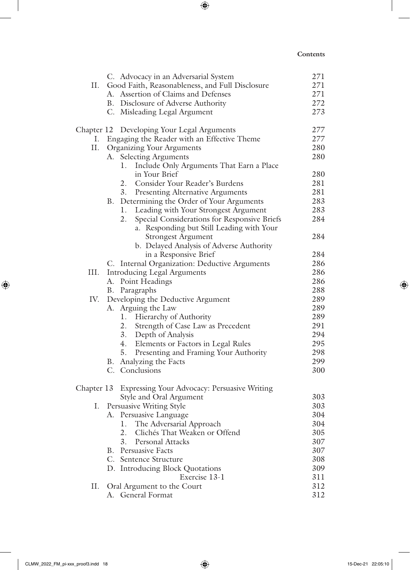$\overline{\phantom{a}}$ 

 $\bigoplus$ 

|            | C. Advocacy in an Adversarial System               | 271 |
|------------|----------------------------------------------------|-----|
| П.         | Good Faith, Reasonableness, and Full Disclosure    | 271 |
|            | Assertion of Claims and Defenses<br>А.             | 271 |
|            | B. Disclosure of Adverse Authority                 | 272 |
|            | C. Misleading Legal Argument                       | 273 |
|            | Chapter 12 Developing Your Legal Arguments         | 277 |
| Ι.         | Engaging the Reader with an Effective Theme        | 277 |
| П.         | Organizing Your Arguments                          | 280 |
|            | <b>Selecting Arguments</b><br>А.                   | 280 |
|            | Include Only Arguments That Earn a Place<br>1.     |     |
|            | in Your Brief                                      | 280 |
|            | Consider Your Reader's Burdens<br>2.               | 281 |
|            | <b>Presenting Alternative Arguments</b><br>3.      | 281 |
|            | Determining the Order of Your Arguments<br>В.      | 283 |
|            | Leading with Your Strongest Argument<br>1.         | 283 |
|            | Special Considerations for Responsive Briefs<br>2. | 284 |
|            | a. Responding but Still Leading with Your          |     |
|            | <b>Strongest Argument</b>                          | 284 |
|            | b. Delayed Analysis of Adverse Authority           |     |
|            | in a Responsive Brief                              | 284 |
|            | C. Internal Organization: Deductive Arguments      | 286 |
| III.       | <b>Introducing Legal Arguments</b>                 | 286 |
|            | Point Headings<br>А.                               | 286 |
|            | Paragraphs<br>В.                                   | 288 |
| IV.        | Developing the Deductive Argument                  | 289 |
|            | Arguing the Law<br>А.                              | 289 |
|            | Hierarchy of Authority<br>1.                       | 289 |
|            | 2.<br>Strength of Case Law as Precedent            | 291 |
|            | Depth of Analysis<br>3.                            | 294 |
|            | 4.<br>Elements or Factors in Legal Rules           | 295 |
|            | 5.<br>Presenting and Framing Your Authority        | 298 |
|            | Analyzing the Facts<br>В.                          | 299 |
|            | C. Conclusions                                     | 300 |
| Chapter 13 | Expressing Your Advocacy: Persuasive Writing       |     |
|            | Style and Oral Argument                            | 303 |
| Ι.         | Persuasive Writing Style                           | 303 |
|            | Persuasive Language<br>А.                          | 304 |
|            | The Adversarial Approach<br>1.                     | 304 |
|            | 2.<br>Clichés That Weaken or Offend                | 305 |
|            | 3.<br>Personal Attacks                             | 307 |
|            | Persuasive Facts<br>В.                             | 307 |
|            | C. Sentence Structure                              | 308 |
|            | D. Introducing Block Quotations                    | 309 |
|            | Exercise 13-1                                      | 311 |
| П.         | Oral Argument to the Court                         | 312 |
|            | General Format<br>А.                               | 312 |

 $\bigoplus$ 

 $\overline{\phantom{a}}$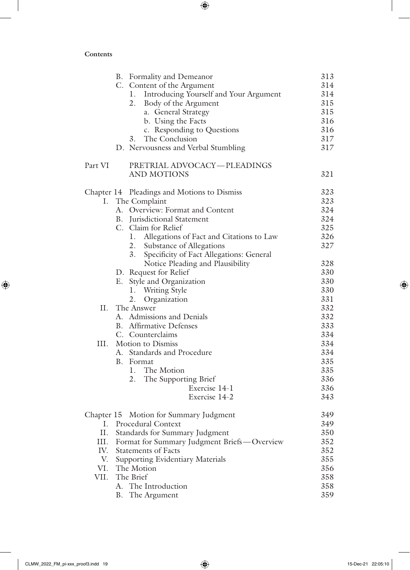$\overline{\phantom{a}}$ 

 $\bigoplus$ 

|            | B. Formality and Demeanor                      | 313 |
|------------|------------------------------------------------|-----|
|            | C. Content of the Argument                     | 314 |
|            | Introducing Yourself and Your Argument<br>1.   | 314 |
|            | 2.<br>Body of the Argument                     | 315 |
|            | a. General Strategy                            | 315 |
|            | b. Using the Facts                             | 316 |
|            | c. Responding to Questions                     | 316 |
|            | The Conclusion<br>3.                           | 317 |
|            | D. Nervousness and Verbal Stumbling            | 317 |
| Part VI    | PRETRIAL ADVOCACY-PLEADINGS                    |     |
|            | <b>AND MOTIONS</b>                             | 321 |
|            | Chapter 14 Pleadings and Motions to Dismiss    | 323 |
| Ι.         | The Complaint                                  | 323 |
|            | A. Overview: Format and Content                | 324 |
|            | B. Jurisdictional Statement                    | 324 |
|            | C. Claim for Relief                            | 325 |
|            | Allegations of Fact and Citations to Law<br>1. | 326 |
|            | Substance of Allegations<br>2.                 | 327 |
|            | 3.<br>Specificity of Fact Allegations: General |     |
|            | Notice Pleading and Plausibility               | 328 |
|            | D. Request for Relief                          | 330 |
|            | E. Style and Organization                      | 330 |
|            | 1. Writing Style                               | 330 |
|            | Organization<br>2.                             | 331 |
| П.         | The Answer                                     | 332 |
|            | A. Admissions and Denials                      | 332 |
|            | <b>B.</b> Affirmative Defenses                 | 333 |
|            | C. Counterclaims                               | 334 |
| III.       | Motion to Dismiss                              | 334 |
|            | A. Standards and Procedure                     | 334 |
|            | B. Format                                      | 335 |
|            | 1. The Motion                                  | 335 |
|            | The Supporting Brief<br>2.                     | 336 |
|            | Exercise 14-1                                  | 336 |
|            | Exercise 14-2                                  | 343 |
| Chapter 15 | Motion for Summary Judgment                    | 349 |
| L.         | Procedural Context                             | 349 |
| Π.         | Standards for Summary Judgment                 | 350 |
| III.       | Format for Summary Judgment Briefs-Overview    | 352 |
| IV.        | <b>Statements of Facts</b>                     | 352 |
| V.         | Supporting Evidentiary Materials               | 355 |
| VI.        | The Motion                                     | 356 |
| VII.       | The Brief                                      | 358 |
|            | A. The Introduction                            | 358 |
|            | The Argument<br>В.                             | 359 |
|            |                                                |     |

 $\bigoplus$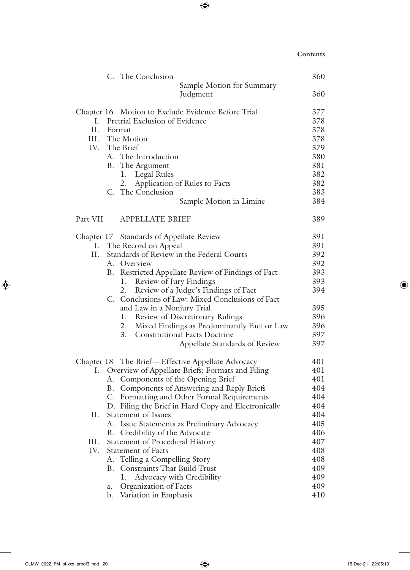|          | C. The Conclusion                                                             | 360        |
|----------|-------------------------------------------------------------------------------|------------|
|          | Sample Motion for Summary                                                     |            |
|          | Judgment                                                                      | 360        |
|          | Chapter 16 Motion to Exclude Evidence Before Trial                            | 377        |
| L.       | Pretrial Exclusion of Evidence                                                | 378        |
| II.      | Format                                                                        | 378        |
|          | III. The Motion                                                               | 378        |
|          | IV. The Brief                                                                 | 379        |
|          | A. The Introduction                                                           | 380        |
|          | B. The Argument                                                               | 381        |
|          | 1. Legal Rules                                                                | 382        |
|          | Application of Rules to Facts<br>2.                                           | 382        |
|          | C. The Conclusion                                                             | 383        |
|          | Sample Motion in Limine                                                       | 384        |
| Part VII | <b>APPELLATE BRIEF</b>                                                        | 389        |
|          | Chapter 17 Standards of Appellate Review                                      | 391        |
|          | I. The Record on Appeal                                                       | 391        |
| Π.       | Standards of Review in the Federal Courts                                     | 392        |
|          | A. Overview                                                                   | 392        |
|          | B. Restricted Appellate Review of Findings of Fact                            | 393        |
|          | Review of Jury Findings<br>1.                                                 | 393        |
|          | Review of a Judge's Findings of Fact<br>2.                                    | 394        |
|          | C. Conclusions of Law: Mixed Conclusions of Fact                              |            |
|          | and Law in a Nonjury Trial                                                    | 395        |
|          | 1. Review of Discretionary Rulings                                            | 396        |
|          | 2. Mixed Findings as Predominantly Fact or Law                                | 396        |
|          | 3.<br><b>Constitutional Facts Doctrine</b>                                    | 397        |
|          | Appellate Standards of Review                                                 | 397        |
|          | Chapter 18 The Brief-Effective Appellate Advocacy                             | 401        |
| Ι.       | Overview of Appellate Briefs: Formats and Filing                              | 401        |
|          | A. Components of the Opening Brief                                            | 401        |
|          | B. Components of Answering and Reply Briefs                                   | 404        |
|          | C. Formatting and Other Formal Requirements                                   | 404        |
|          | D. Filing the Brief in Hard Copy and Electronically                           | 404        |
| П.       | <b>Statement of Issues</b>                                                    | 404        |
|          | Issue Statements as Preliminary Advocacy<br>А.                                | 405        |
|          | Credibility of the Advocate<br>В.                                             | 406        |
| Ш.       | Statement of Procedural History                                               | 407        |
| IV.      | <b>Statement of Facts</b>                                                     | 408        |
|          | Telling a Compelling Story<br>А.<br><b>Constraints That Build Trust</b><br>В. | 408        |
|          | 1.                                                                            | 409        |
|          | Advocacy with Credibility                                                     | 409<br>409 |
|          | Organization of Facts<br>a.                                                   | 410        |
|          | Variation in Emphasis<br>b.                                                   |            |

 $\bigoplus$ 

 $\overline{\phantom{a}}$ 

 $\bigoplus$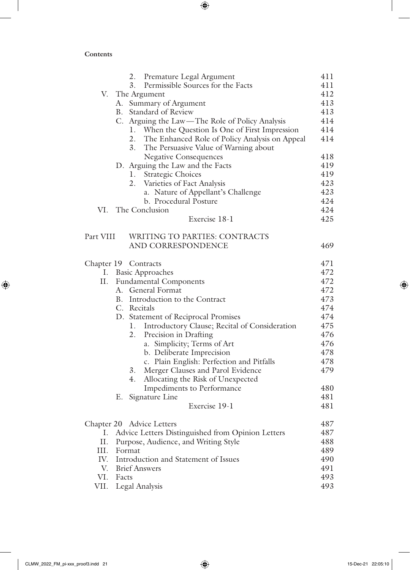$\overline{\phantom{a}}$ 

 $\bigoplus$ 

|           | 2. Premature Legal Argument                          | 411 |
|-----------|------------------------------------------------------|-----|
|           | Permissible Sources for the Facts<br>3.              | 411 |
|           | V. The Argument                                      | 412 |
|           | A. Summary of Argument                               | 413 |
|           | B. Standard of Review                                | 413 |
|           | C. Arguing the Law—The Role of Policy Analysis       | 414 |
|           | 1. When the Question Is One of First Impression      | 414 |
|           | The Enhanced Role of Policy Analysis on Appeal<br>2. | 414 |
|           | 3.<br>The Persuasive Value of Warning about          |     |
|           | <b>Negative Consequences</b>                         | 418 |
|           | D. Arguing the Law and the Facts                     | 419 |
|           | 1. Strategic Choices                                 | 419 |
|           | Varieties of Fact Analysis<br>2.                     | 423 |
|           | a. Nature of Appellant's Challenge                   | 423 |
|           | b. Procedural Posture                                | 424 |
| VI.       | The Conclusion                                       | 424 |
|           | Exercise 18-1                                        | 425 |
| Part VIII | <b>WRITING TO PARTIES: CONTRACTS</b>                 |     |
|           | AND CORRESPONDENCE                                   | 469 |
|           |                                                      |     |
|           | Chapter 19 Contracts                                 | 471 |
|           | I. Basic Approaches                                  | 472 |
| II.       | <b>Fundamental Components</b>                        | 472 |
|           | A. General Format                                    | 472 |
|           | B. Introduction to the Contract                      | 473 |
|           | C. Recitals                                          | 474 |
|           | D. Statement of Reciprocal Promises                  | 474 |
|           | Introductory Clause; Recital of Consideration<br>1.  | 475 |
|           | Precision in Drafting<br>2.                          | 476 |
|           | a. Simplicity; Terms of Art                          | 476 |
|           | b. Deliberate Imprecision                            | 478 |
|           | c. Plain English: Perfection and Pitfalls            | 478 |
|           | Merger Clauses and Parol Evidence<br>3.              | 479 |
|           | Allocating the Risk of Unexpected<br>4.              |     |
|           | Impediments to Performance                           | 480 |
|           | Signature Line<br>Е.                                 | 481 |
|           | Exercise 19-1                                        | 481 |
|           | Chapter 20 Advice Letters                            | 487 |
| I.        | Advice Letters Distinguished from Opinion Letters    | 487 |
| II.       | Purpose, Audience, and Writing Style                 | 488 |
| III.      | Format                                               | 489 |
| IV.       | Introduction and Statement of Issues                 | 490 |
| V.        | <b>Brief Answers</b>                                 | 491 |
| VI.       | Facts                                                | 493 |
| VII.      | Legal Analysis                                       | 493 |

 $\bigoplus$ 

 $\overline{\phantom{a}}$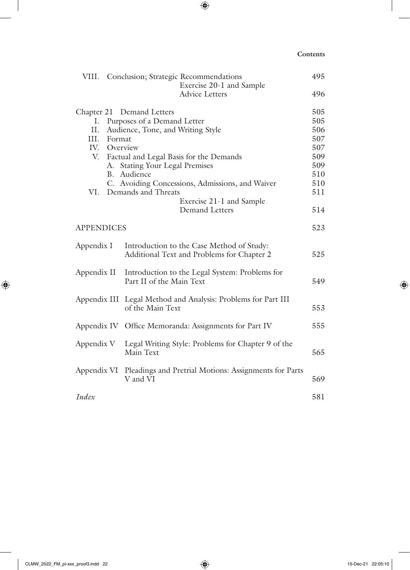$\overline{\phantom{a}}$ 

 $\bigoplus$ 

| VIII.             |        | Conclusion; Strategic Recommendations                                                   | 495 |
|-------------------|--------|-----------------------------------------------------------------------------------------|-----|
|                   |        | Exercise 20-1 and Sample                                                                |     |
|                   |        | <b>Advice Letters</b>                                                                   | 496 |
|                   |        | Chapter 21 Demand Letters                                                               | 505 |
| I.                |        | Purposes of a Demand Letter                                                             | 505 |
| II.               |        | Audience, Tone, and Writing Style                                                       | 506 |
| Ш.                | Format |                                                                                         | 507 |
| IV.               |        | Overview                                                                                | 507 |
| V.                |        | Factual and Legal Basis for the Demands                                                 | 509 |
|                   |        | A. Stating Your Legal Premises                                                          | 509 |
|                   |        | B. Audience                                                                             | 510 |
|                   |        | C. Avoiding Concessions, Admissions, and Waiver                                         | 510 |
| VI.               |        | Demands and Threats                                                                     | 511 |
|                   |        | Exercise 21-1 and Sample                                                                |     |
|                   |        | <b>Demand Letters</b>                                                                   | 514 |
| <b>APPENDICES</b> |        |                                                                                         | 523 |
| Appendix I        |        | Introduction to the Case Method of Study:<br>Additional Text and Problems for Chapter 2 | 525 |
| Appendix II       |        | Introduction to the Legal System: Problems for<br>Part II of the Main Text              | 549 |
|                   |        | Appendix III Legal Method and Analysis: Problems for Part III<br>of the Main Text       | 553 |
| Appendix IV       |        | Office Memoranda: Assignments for Part IV                                               | 555 |
| Appendix V        |        | Legal Writing Style: Problems for Chapter 9 of the<br>Main Text                         | 565 |
|                   |        | Appendix VI Pleadings and Pretrial Motions: Assignments for Parts<br>V and VI           | 569 |
| Index             |        |                                                                                         | 581 |

 $\bigoplus$ 

 $\overline{\phantom{a}}$